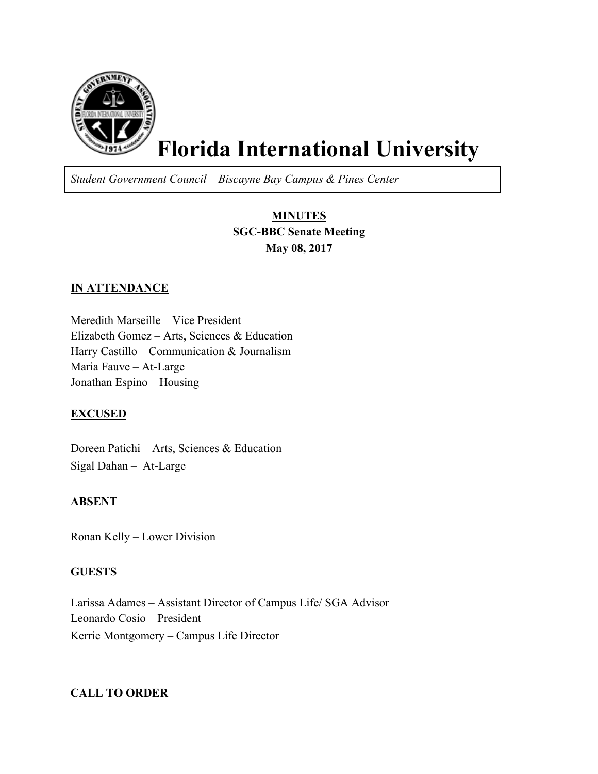

# **Florida International University**

*Student Government Council – Biscayne Bay Campus & Pines Center*

# **MINUTES SGC-BBC Senate Meeting May 08, 2017**

## **IN ATTENDANCE**

Meredith Marseille – Vice President Elizabeth Gomez – Arts, Sciences & Education Harry Castillo – Communication & Journalism Maria Fauve – At-Large Jonathan Espino – Housing

## **EXCUSED**

Doreen Patichi – Arts, Sciences & Education Sigal Dahan – At-Large

## **ABSENT**

Ronan Kelly – Lower Division

## **GUESTS**

Larissa Adames – Assistant Director of Campus Life/ SGA Advisor Leonardo Cosio – President Kerrie Montgomery – Campus Life Director

## **CALL TO ORDER**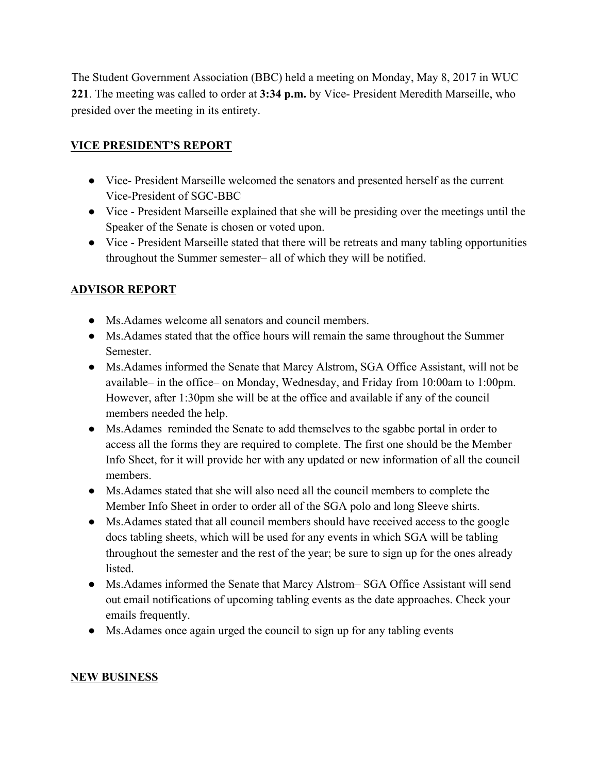The Student Government Association (BBC) held a meeting on Monday, May 8, 2017 in WUC **221**. The meeting was called to order at **3:34 p.m.** by Vice- President Meredith Marseille, who presided over the meeting in its entirety.

# **VICE PRESIDENT'S REPORT**

- Vice- President Marseille welcomed the senators and presented herself as the current Vice-President of SGC-BBC
- Vice President Marseille explained that she will be presiding over the meetings until the Speaker of the Senate is chosen or voted upon.
- Vice President Marseille stated that there will be retreats and many tabling opportunities throughout the Summer semester– all of which they will be notified.

# **ADVISOR REPORT**

- Ms.Adames welcome all senators and council members.
- Ms.Adames stated that the office hours will remain the same throughout the Summer Semester.
- Ms.Adames informed the Senate that Marcy Alstrom, SGA Office Assistant, will not be available– in the office– on Monday, Wednesday, and Friday from 10:00am to 1:00pm. However, after 1:30pm she will be at the office and available if any of the council members needed the help.
- Ms.Adames reminded the Senate to add themselves to the sgabbc portal in order to access all the forms they are required to complete. The first one should be the Member Info Sheet, for it will provide her with any updated or new information of all the council members.
- Ms.Adames stated that she will also need all the council members to complete the Member Info Sheet in order to order all of the SGA polo and long Sleeve shirts.
- Ms.Adames stated that all council members should have received access to the google docs tabling sheets, which will be used for any events in which SGA will be tabling throughout the semester and the rest of the year; be sure to sign up for the ones already listed.
- Ms.Adames informed the Senate that Marcy Alstrom– SGA Office Assistant will send out email notifications of upcoming tabling events as the date approaches. Check your emails frequently.
- Ms. Adames once again urged the council to sign up for any tabling events

## **NEW BUSINESS**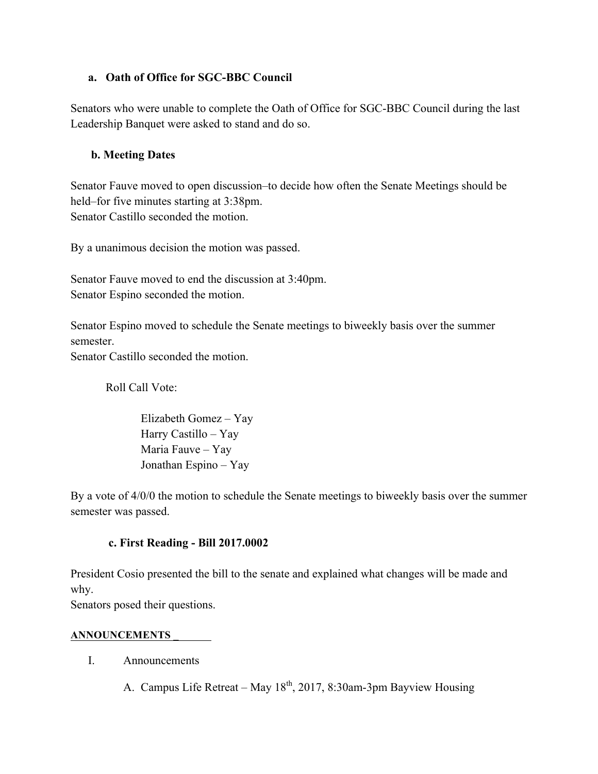## **a. Oath of Office for SGC-BBC Council**

Senators who were unable to complete the Oath of Office for SGC-BBC Council during the last Leadership Banquet were asked to stand and do so.

## **b. Meeting Dates**

Senator Fauve moved to open discussion–to decide how often the Senate Meetings should be held–for five minutes starting at 3:38pm. Senator Castillo seconded the motion.

By a unanimous decision the motion was passed.

Senator Fauve moved to end the discussion at 3:40pm. Senator Espino seconded the motion.

Senator Espino moved to schedule the Senate meetings to biweekly basis over the summer semester.

Senator Castillo seconded the motion.

Roll Call Vote:

Elizabeth Gomez – Yay Harry Castillo – Yay Maria Fauve – Yay Jonathan Espino – Yay

By a vote of 4/0/0 the motion to schedule the Senate meetings to biweekly basis over the summer semester was passed.

## **c. First Reading - Bill 2017.0002**

President Cosio presented the bill to the senate and explained what changes will be made and why.

Senators posed their questions.

## **ANNOUNCEMENTS \_**

- I. Announcements
	- A. Campus Life Retreat May  $18<sup>th</sup>$ , 2017, 8:30am-3pm Bayview Housing